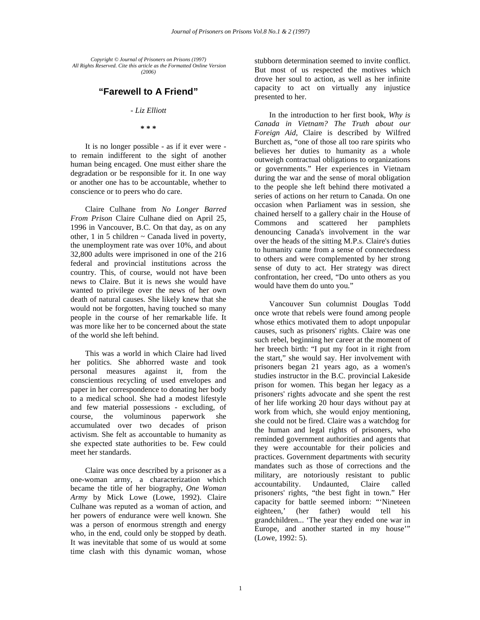*Copyright © Journal of Prisoners on Prisons (1997) All Rights Reserved. Cite this article as the Formatted Online Version (2006)* 

## **"Farewell to A Friend"**

## *- Liz Elliott*

**\* \* \*** 

It is no longer possible - as if it ever were to remain indifferent to the sight of another human being encaged. One must either share the degradation or be responsible for it. In one way or another one has to be accountable, whether to conscience or to peers who do care.

Claire Culhane from *No Longer Barred From Prison* Claire Culhane died on April 25, 1996 in Vancouver, B.C. On that day, as on any other,  $1$  in  $5$  children  $\sim$  Canada lived in poverty, the unemployment rate was over 10%, and about 32,800 adults were imprisoned in one of the 216 federal and provincial institutions across the country. This, of course, would not have been news to Claire. But it is news she would have wanted to privilege over the news of her own death of natural causes. She likely knew that she would not be forgotten, having touched so many people in the course of her remarkable life. It was more like her to be concerned about the state of the world she left behind.

This was a world in which Claire had lived her politics. She abhorred waste and took personal measures against it, from the conscientious recycling of used envelopes and paper in her correspondence to donating her body to a medical school. She had a modest lifestyle and few material possessions - excluding, of course, the voluminous paperwork she accumulated over two decades of prison activism. She felt as accountable to humanity as she expected state authorities to be. Few could meet her standards.

Claire was once described by a prisoner as a one-woman army, a characterization which became the title of her biography, *One Woman Army* by Mick Lowe (Lowe, 1992). Claire Culhane was reputed as a woman of action, and her powers of endurance were well known. She was a person of enormous strength and energy who, in the end, could only be stopped by death. It was inevitable that some of us would at some time clash with this dynamic woman, whose

stubborn determination seemed to invite conflict. But most of us respected the motives which drove her soul to action, as well as her infinite capacity to act on virtually any injustice presented to her.

In the introduction to her first book, *Why is Canada in Vietnam? The Truth about our Foreign Aid*, Claire is described by Wilfred Burchett as, "one of those all too rare spirits who believes her duties to humanity as a whole outweigh contractual obligations to organizations or governments." Her experiences in Vietnam during the war and the sense of moral obligation to the people she left behind there motivated a series of actions on her return to Canada. On one occasion when Parliament was in session, she chained herself to a gallery chair in the House of Commons and scattered her pamphlets denouncing Canada's involvement in the war over the heads of the sitting M.P.s. Claire's duties to humanity came from a sense of connectedness to others and were complemented by her strong sense of duty to act. Her strategy was direct confrontation, her creed, "Do unto others as you would have them do unto you."

Vancouver Sun columnist Douglas Todd once wrote that rebels were found among people whose ethics motivated them to adopt unpopular causes, such as prisoners' rights. Claire was one such rebel, beginning her career at the moment of her breech birth: "I put my foot in it right from the start," she would say. Her involvement with prisoners began 21 years ago, as a women's studies instructor in the B.C. provincial Lakeside prison for women. This began her legacy as a prisoners' rights advocate and she spent the rest of her life working 20 hour days without pay at work from which, she would enjoy mentioning, she could not be fired. Claire was a watchdog for the human and legal rights of prisoners, who reminded government authorities and agents that they were accountable for their policies and practices. Government departments with security mandates such as those of corrections and the military, are notoriously resistant to public accountability. Undaunted, Claire called prisoners' rights, "the best fight in town." Her capacity for battle seemed inborn: "'Nineteen eighteen,' (her father) would tell his grandchildren... 'The year they ended one war in Europe, and another started in my house'" (Lowe, 1992: 5).